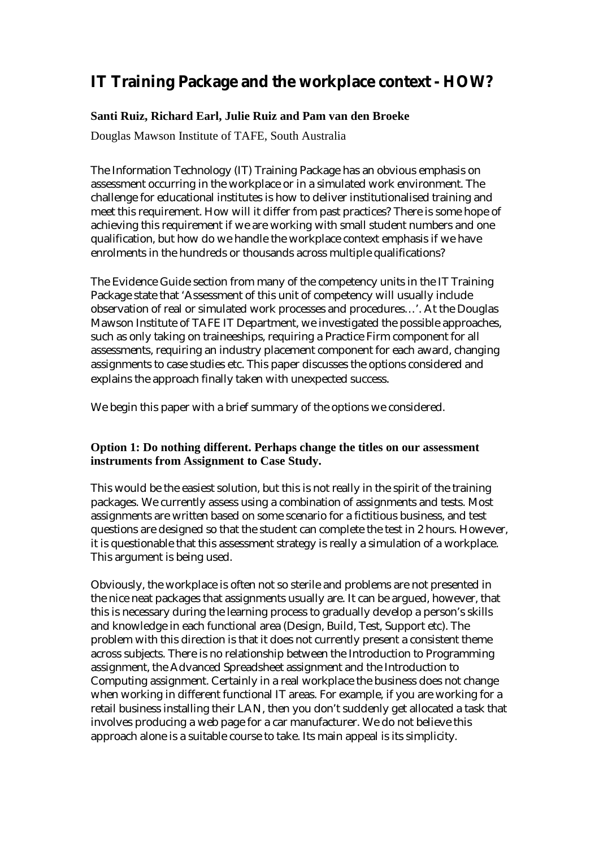# **IT Training Package and the workplace context - HOW?**

### **Santi Ruiz, Richard Earl, Julie Ruiz and Pam van den Broeke**

Douglas Mawson Institute of TAFE, South Australia

The Information Technology (IT) Training Package has an obvious emphasis on assessment occurring in the workplace or in a simulated work environment. The challenge for educational institutes is how to deliver institutionalised training and meet this requirement. How will it differ from past practices? There is some hope of achieving this requirement if we are working with small student numbers and one qualification, but how do we handle the workplace context emphasis if we have enrolments in the hundreds or thousands across multiple qualifications?

The Evidence Guide section from many of the competency units in the IT Training Package state that 'Assessment of this unit of competency will usually include observation of real or simulated work processes and procedures…'. At the Douglas Mawson Institute of TAFE IT Department, we investigated the possible approaches, such as only taking on traineeships, requiring a Practice Firm component for all assessments, requiring an industry placement component for each award, changing assignments to case studies etc. This paper discusses the options considered and explains the approach finally taken with unexpected success.

We begin this paper with a brief summary of the options we considered.

#### **Option 1: Do nothing different. Perhaps change the titles on our assessment instruments from Assignment to Case Study.**

This would be the easiest solution, but this is not really in the spirit of the training packages. We currently assess using a combination of assignments and tests. Most assignments are written based on some scenario for a fictitious business, and test questions are designed so that the student can complete the test in 2 hours. However, it is questionable that this assessment strategy is really a simulation of a workplace. This argument is being used.

Obviously, the workplace is often not so sterile and problems are not presented in the nice neat packages that assignments usually are. It can be argued, however, that this is necessary during the learning process to gradually develop a person's skills and knowledge in each functional area (Design, Build, Test, Support etc). The problem with this direction is that it does not currently present a consistent theme across subjects. There is no relationship between the Introduction to Programming assignment, the Advanced Spreadsheet assignment and the Introduction to Computing assignment. Certainly in a real workplace the business does not change when working in different functional IT areas. For example, if you are working for a retail business installing their LAN, then you don't suddenly get allocated a task that involves producing a web page for a car manufacturer. We do not believe this approach alone is a suitable course to take. Its main appeal is its simplicity.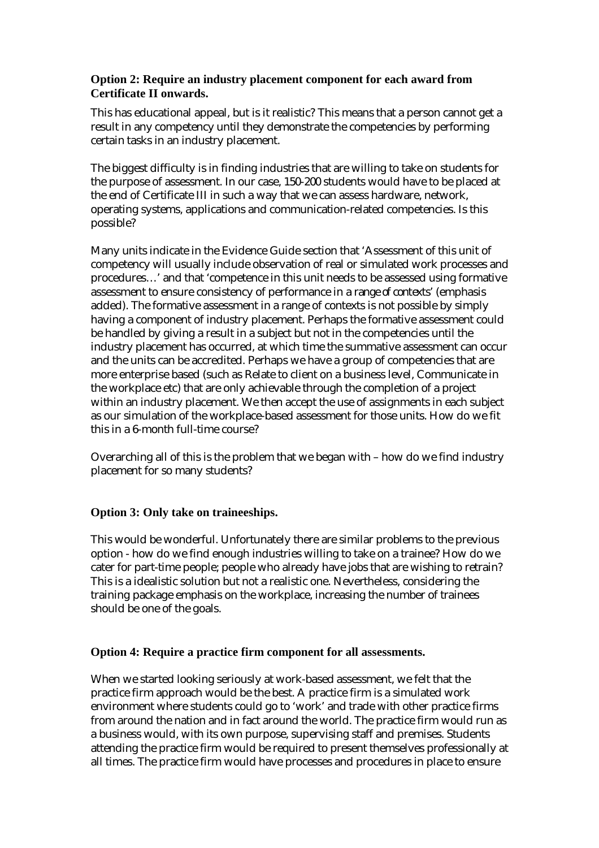#### **Option 2: Require an industry placement component for each award from Certificate II onwards.**

This has educational appeal, but is it realistic? This means that a person cannot get a result in any competency until they demonstrate the competencies by performing certain tasks in an industry placement.

The biggest difficulty is in finding industries that are willing to take on students for the purpose of assessment. In our case, 150-200 students would have to be placed at the end of Certificate III in such a way that we can assess hardware, network, operating systems, applications and communication-related competencies. Is this possible?

Many units indicate in the Evidence Guide section that 'Assessment of this unit of competency will usually include observation of real or simulated work processes and procedures…' and that 'competence in this unit needs to be assessed using formative assessment to ensure consistency of performance in a *range of contexts'* (emphasis added). The formative assessment in a range of contexts is not possible by simply having a component of industry placement. Perhaps the formative assessment could be handled by giving a result in a subject but not in the competencies until the industry placement has occurred, at which time the summative assessment can occur and the units can be accredited. Perhaps we have a group of competencies that are more enterprise based (such as Relate to client on a business level, Communicate in the workplace etc) that are only achievable through the completion of a project within an industry placement. We then accept the use of assignments in each subject as our simulation of the workplace-based assessment for those units. How do we fit this in a 6-month full-time course?

Overarching all of this is the problem that we began with – how do we find industry placement for so many students?

### **Option 3: Only take on traineeships.**

This would be wonderful. Unfortunately there are similar problems to the previous option - how do we find enough industries willing to take on a trainee? How do we cater for part-time people; people who already have jobs that are wishing to retrain? This is a idealistic solution but not a realistic one. Nevertheless, considering the training package emphasis on the workplace, increasing the number of trainees should be one of the goals.

#### **Option 4: Require a practice firm component for all assessments.**

When we started looking seriously at work-based assessment, we felt that the practice firm approach would be the best. A practice firm is a simulated work environment where students could go to 'work' and trade with other practice firms from around the nation and in fact around the world. The practice firm would run as a business would, with its own purpose, supervising staff and premises. Students attending the practice firm would be required to present themselves professionally at all times. The practice firm would have processes and procedures in place to ensure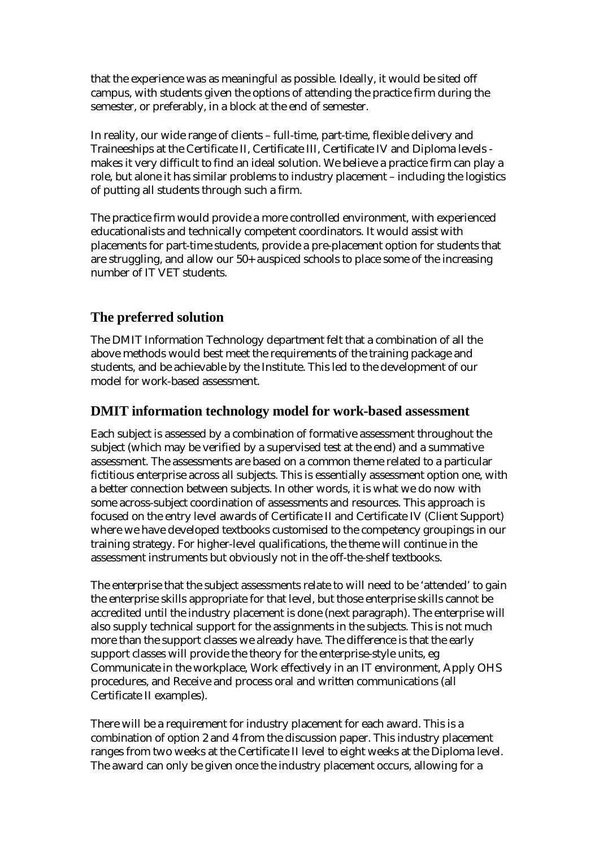that the experience was as meaningful as possible. Ideally, it would be sited off campus, with students given the options of attending the practice firm during the semester, or preferably, in a block at the end of semester.

In reality, our wide range of clients – full-time, part-time, flexible delivery and Traineeships at the Certificate II, Certificate III, Certificate IV and Diploma levels makes it very difficult to find an ideal solution. We believe a practice firm can play a role, but alone it has similar problems to industry placement – including the logistics of putting all students through such a firm.

The practice firm would provide a more controlled environment, with experienced educationalists and technically competent coordinators. It would assist with placements for part-time students, provide a pre-placement option for students that are struggling, and allow our 50+ auspiced schools to place some of the increasing number of IT VET students.

# **The preferred solution**

The DMIT Information Technology department felt that a combination of all the above methods would best meet the requirements of the training package and students, and be achievable by the Institute. This led to the development of our model for work-based assessment.

# **DMIT information technology model for work-based assessment**

Each subject is assessed by a combination of formative assessment throughout the subject (which may be verified by a supervised test at the end) and a summative assessment. The assessments are based on a common theme related to a particular fictitious enterprise across all subjects. This is essentially assessment option one, with a better connection between subjects. In other words, it is what we do now with some across-subject coordination of assessments and resources. This approach is focused on the entry level awards of Certificate II and Certificate IV (Client Support) where we have developed textbooks customised to the competency groupings in our training strategy. For higher-level qualifications, the theme will continue in the assessment instruments but obviously not in the off-the-shelf textbooks.

The enterprise that the subject assessments relate to will need to be 'attended' to gain the enterprise skills appropriate for that level, but those enterprise skills cannot be accredited until the industry placement is done (next paragraph). The enterprise will also supply technical support for the assignments in the subjects. This is not much more than the support classes we already have. The difference is that the early support classes will provide the theory for the enterprise-style units, eg Communicate in the workplace, Work effectively in an IT environment, Apply OHS procedures, and Receive and process oral and written communications (all Certificate II examples).

There will be a requirement for industry placement for each award. This is a combination of option 2 and 4 from the discussion paper. This industry placement ranges from two weeks at the Certificate II level to eight weeks at the Diploma level. The award can only be given once the industry placement occurs, allowing for a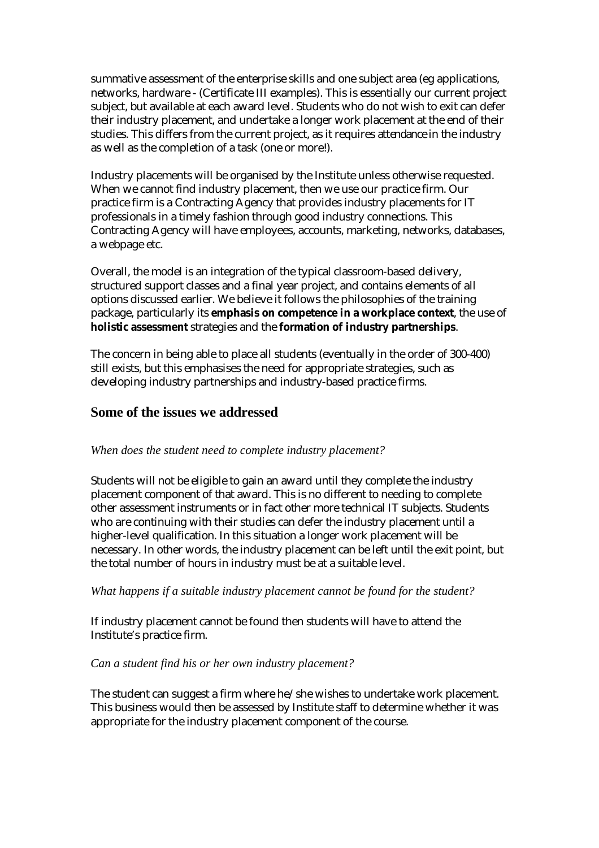summative assessment of the enterprise skills and one subject area (eg applications, networks, hardware - (Certificate III examples). This is essentially our current project subject, but available at each award level. Students who do not wish to exit can defer their industry placement, and undertake a longer work placement at the end of their studies. This differs from the current project, as it requires *attendance* in the industry as well as the completion of a task (one or more!).

Industry placements will be organised by the Institute unless otherwise requested. When we cannot find industry placement, then we use our practice firm. Our practice firm is a Contracting Agency that provides industry placements for IT professionals in a timely fashion through good industry connections. This Contracting Agency will have employees, accounts, marketing, networks, databases, a webpage etc.

Overall, the model is an integration of the typical classroom-based delivery, structured support classes and a final year project, and contains elements of all options discussed earlier. We believe it follows the philosophies of the training package, particularly its **emphasis on competence in a workplace context**, the use of **holistic assessment** strategies and the **formation of industry partnerships**.

The concern in being able to place all students (eventually in the order of 300-400) still exists, but this emphasises the need for appropriate strategies, such as developing industry partnerships and industry-based practice firms.

### **Some of the issues we addressed**

#### *When does the student need to complete industry placement?*

Students will not be eligible to gain an award until they complete the industry placement component of that award. This is no different to needing to complete other assessment instruments or in fact other more technical IT subjects. Students who are continuing with their studies can defer the industry placement until a higher-level qualification. In this situation a longer work placement will be necessary. In other words, the industry placement can be left until the exit point, but the total number of hours in industry must be at a suitable level.

#### *What happens if a suitable industry placement cannot be found for the student?*

If industry placement cannot be found then students will have to attend the Institute's practice firm.

#### *Can a student find his or her own industry placement?*

The student can suggest a firm where he/she wishes to undertake work placement. This business would then be assessed by Institute staff to determine whether it was appropriate for the industry placement component of the course.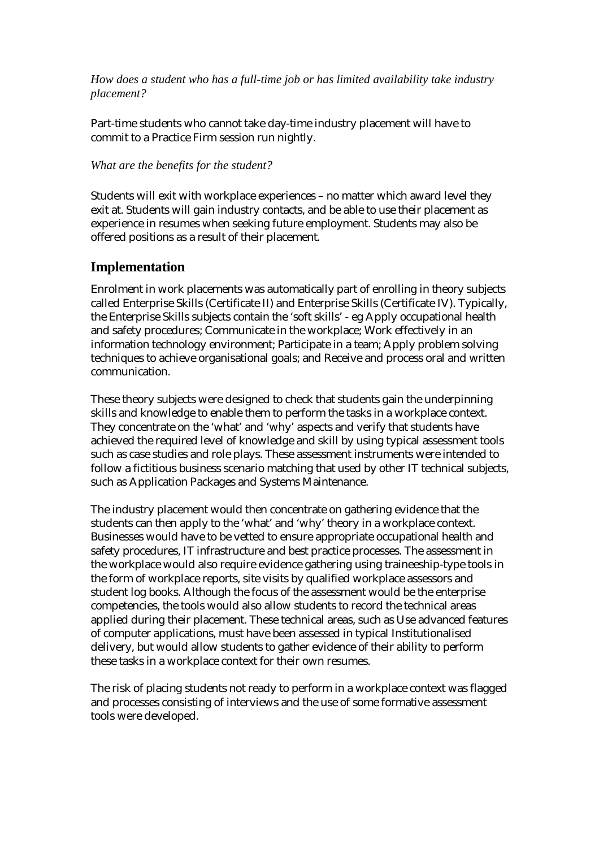*How does a student who has a full-time job or has limited availability take industry placement?* 

Part-time students who cannot take day-time industry placement will have to commit to a Practice Firm session run nightly.

#### *What are the benefits for the student?*

Students will exit with workplace experiences – no matter which award level they exit at. Students will gain industry contacts, and be able to use their placement as experience in resumes when seeking future employment. Students may also be offered positions as a result of their placement.

# **Implementation**

Enrolment in work placements was automatically part of enrolling in theory subjects called Enterprise Skills (Certificate II) and Enterprise Skills (Certificate IV). Typically, the Enterprise Skills subjects contain the 'soft skills' - eg Apply occupational health and safety procedures; Communicate in the workplace; Work effectively in an information technology environment; Participate in a team; Apply problem solving techniques to achieve organisational goals; and Receive and process oral and written communication.

These theory subjects were designed to check that students gain the underpinning skills and knowledge to enable them to perform the tasks in a workplace context. They concentrate on the 'what' and 'why' aspects and verify that students have achieved the required level of knowledge and skill by using typical assessment tools such as case studies and role plays. These assessment instruments were intended to follow a fictitious business scenario matching that used by other IT technical subjects, such as Application Packages and Systems Maintenance.

The industry placement would then concentrate on gathering evidence that the students can then apply to the 'what' and 'why' theory in a workplace context. Businesses would have to be vetted to ensure appropriate occupational health and safety procedures, IT infrastructure and best practice processes. The assessment in the workplace would also require evidence gathering using traineeship-type tools in the form of workplace reports, site visits by qualified workplace assessors and student log books. Although the focus of the assessment would be the enterprise competencies, the tools would also allow students to record the technical areas applied during their placement. These technical areas, such as Use advanced features of computer applications, must have been assessed in typical Institutionalised delivery, but would allow students to gather evidence of their ability to perform these tasks in a workplace context for their own resumes.

The risk of placing students not ready to perform in a workplace context was flagged and processes consisting of interviews and the use of some formative assessment tools were developed.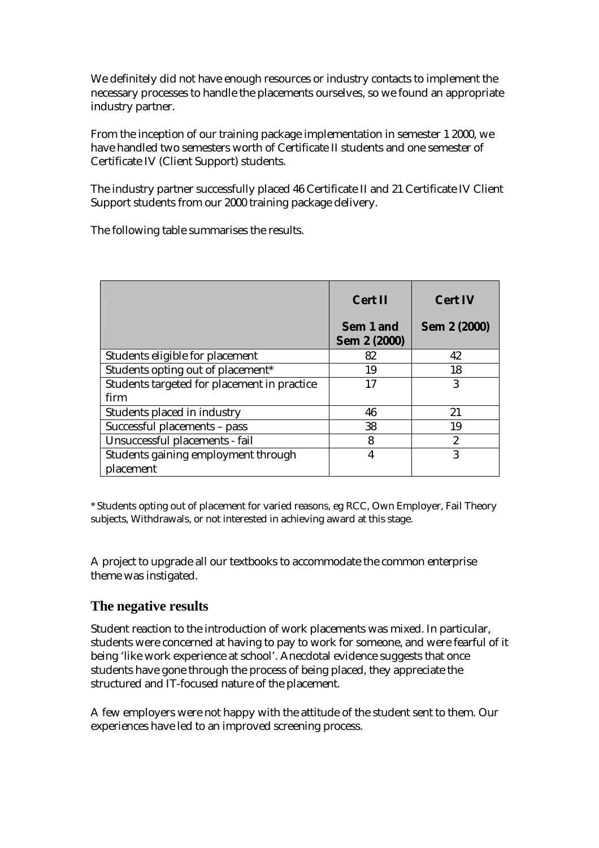We definitely did not have enough resources or industry contacts to implement the necessary processes to handle the placements ourselves, so we found an appropriate industry partner.

From the inception of our training package implementation in semester 1 2000, we have handled two semesters worth of Certificate II students and one semester of Certificate IV (Client Support) students.

The industry partner successfully placed 46 Certificate II and 21 Certificate IV Client Support students from our 2000 training package delivery.

The following table summarises the results.

|                                             | <b>Cert II</b><br>Sem 1 and<br><b>Sem 2 (2000)</b> | <b>Cert IV</b><br><b>Sem 2 (2000)</b> |
|---------------------------------------------|----------------------------------------------------|---------------------------------------|
| Students eligible for placement             | 82                                                 | 42                                    |
| Students opting out of placement*           | 19                                                 | 18                                    |
| Students targeted for placement in practice | 17                                                 | 3                                     |
| firm                                        |                                                    |                                       |
| Students placed in industry                 | 46                                                 | 21                                    |
| Successful placements - pass                | 38                                                 | 19                                    |
| Unsuccessful placements - fail              | 8                                                  | $\overline{c}$                        |
| Students gaining employment through         | 4                                                  | 3                                     |
| placement                                   |                                                    |                                       |

\* Students opting out of placement for varied reasons, eg RCC, Own Employer, Fail Theory subjects, Withdrawals, or not interested in achieving award at this stage.

A project to upgrade all our textbooks to accommodate the common enterprise theme was instigated.

# **The negative results**

Student reaction to the introduction of work placements was mixed. In particular, students were concerned at having to pay to work for someone, and were fearful of it being 'like work experience at school'. Anecdotal evidence suggests that once students have gone through the process of being placed, they appreciate the structured and IT-focused nature of the placement.

A few employers were not happy with the attitude of the student sent to them. Our experiences have led to an improved screening process.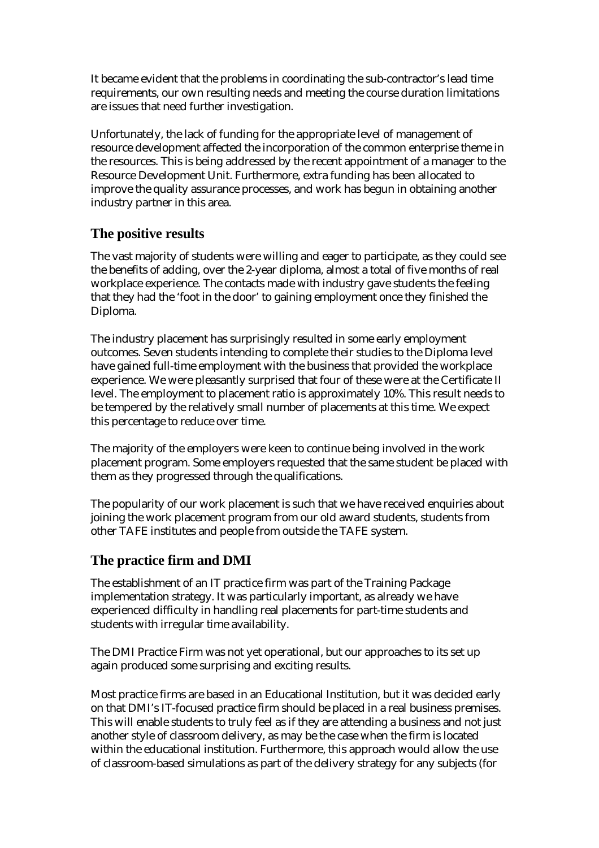It became evident that the problems in coordinating the sub-contractor's lead time requirements, our own resulting needs and meeting the course duration limitations are issues that need further investigation.

Unfortunately, the lack of funding for the appropriate level of management of resource development affected the incorporation of the common enterprise theme in the resources. This is being addressed by the recent appointment of a manager to the Resource Development Unit. Furthermore, extra funding has been allocated to improve the quality assurance processes, and work has begun in obtaining another industry partner in this area.

# **The positive results**

The vast majority of students were willing and eager to participate, as they could see the benefits of adding, over the 2-year diploma, almost a total of five months of real workplace experience. The contacts made with industry gave students the feeling that they had the 'foot in the door' to gaining employment once they finished the Diploma.

The industry placement has surprisingly resulted in some early employment outcomes. Seven students intending to complete their studies to the Diploma level have gained full-time employment with the business that provided the workplace experience. We were pleasantly surprised that four of these were at the Certificate II level. The employment to placement ratio is approximately 10%. This result needs to be tempered by the relatively small number of placements at this time. We expect this percentage to reduce over time.

The majority of the employers were keen to continue being involved in the work placement program. Some employers requested that the same student be placed with them as they progressed through the qualifications.

The popularity of our work placement is such that we have received enquiries about joining the work placement program from our old award students, students from other TAFE institutes and people from outside the TAFE system.

# **The practice firm and DMI**

The establishment of an IT practice firm was part of the Training Package implementation strategy. It was particularly important, as already we have experienced difficulty in handling real placements for part-time students and students with irregular time availability.

The DMI Practice Firm was not yet operational, but our approaches to its set up again produced some surprising and exciting results.

Most practice firms are based in an Educational Institution, but it was decided early on that DMI's IT-focused practice firm should be placed in a real business premises. This will enable students to truly feel as if they are attending a business and not just another style of classroom delivery, as may be the case when the firm is located within the educational institution. Furthermore, this approach would allow the use of classroom-based simulations as part of the delivery strategy for any subjects (for